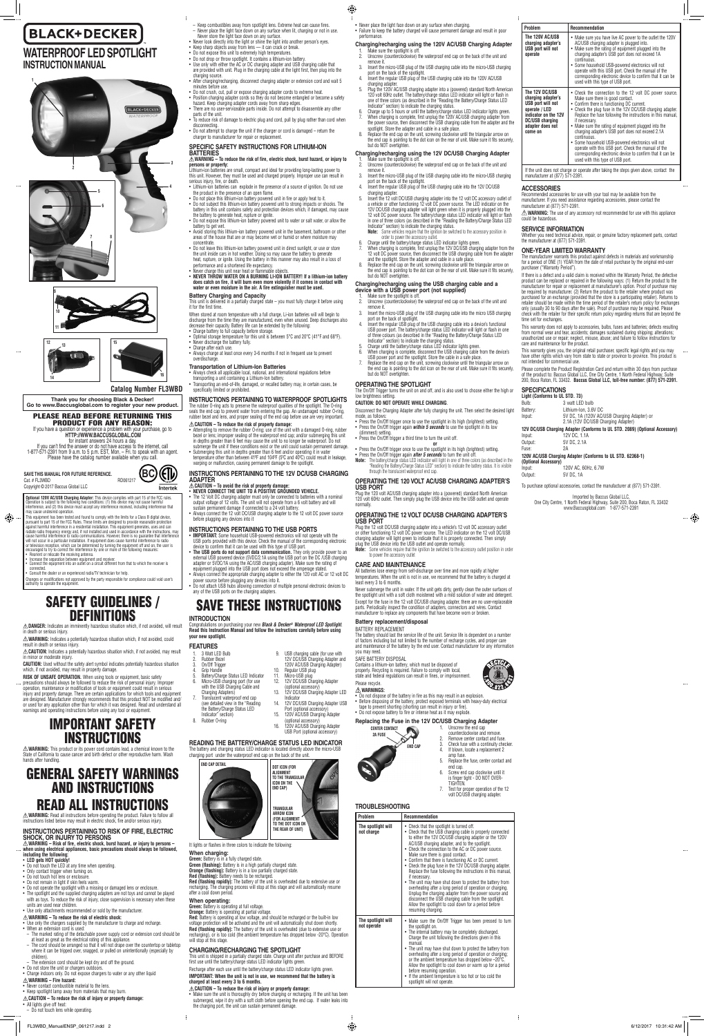

# **BLACK+DECKER WATERPROOF LED SPOTLIGHT INSTRUCTION MANUAL**

**Catalog Number FL3WBD**

**SAVE THIS MANUAL FOR FUTURE REFERENCE.** Cat. # FL3WBD RD061217 Copyright © 2017 Baccus Global LLC

**Optional 120V AC/USB Charging Adapter:** This device complies with part 15 of the FCC rules.<br>Operation is subject to the following two conditions: (1) this device may not cause harmful<br>interference, and (2) this device mus

**Thank you for choosing Black & Decker! Go to www.Baccusglobal.com to register your new product.**

### PLEASE READ BEFORE RETURNING THIS PRODUCT FOR ANY REASON:

If you have a question or experience a problem with your purchase, go to **HTTP://WWW.BACCUSGLOBAL.COM**

for instant answers 24 hours a day.<br>If you can't find the answer or do not have access to the internet, call<br>1-877-571-2391 from 9 a.m. to 5 p.m. EST, Mon. – Fri. to speak with an agent.<br>Please have the catalog number avai

This equipment has been tested and found to comply with the limits for a Class B digital device, pursuant to part 15 of the FCC Rules. These limits are designed to provide reasonable protection<br>against harmful interference in a residential installation. This equipment generates, uses and can<br>radiate radio frequency en cause harmful interference to radio communications. However, there is no guarantee that interference will not occur in a particular installation. If equipment does cause harmful interference to radio or television reception, which can be determined by turning the equipment off and on, the user is encouraged to try to correct the interference by one or more of the following measures: Reorient or relocate the receiving antenna.





**3**

**4**



# SAFETY GUIDELINES / **DEFINITIONS**

CAUTION: Used without the safety alert symbol indicates potentially hazardous situati which, if not avoided, may result in property damage.

injury and property damage. There are certain applications for which tools and equipment are designed. Manufacturer strongly recommends that this product NOT be modified and/ or used for any application other than for which it was designed. Read and understand all warnings and operating instructions before using any tool or equipment.

**WARNING:** Read all instructions before operating the product. Failure to follow all ctions listed below may result in electric shock, fire and/or serious injury.

• Increase the separation between equipment and receiver. • Connect the equipment into an outlet on a circuit different from that to which the receiver is

connected. • Consult the dealer or an experienced radio/TV technician for help.

Changes or modifications not approved by the party responsible for compliance could void user's authority to operate the equipment.

**DANGER:** Indicates an imminently hazardous situation which, if not avoided, will result

⊕

in death or serious injury. **WARNING:** Indicates a potentially hazardous situation which, if not avoided, could

result in death or serious injury. **CAUTION:** Indicates a potentially hazardous situation which, if not avoided, may result in minor or moderate injury.

- Never contact combustible material to the lens.
- • Keep spotlight lamp away from materials that may burn.

- All lights give off heat:
- Do not touch lens while operating.
- **RISK OF UNSAFE OPERATION.** When using tools or equipment, basic safety precautions should always be followed to reduce the risk of personal injury. Improper
- operation, maintenance or modification of tools or equipment could result in serious

# IMPORTANT SAFETY INSTRUCTIONS

**WARNING:** This product or its power cord contains lead, a chemical known to the State of California to cause cancer and birth defect or other reproductive harm. Wash hands after handling.

# GENERAL SAFETY WARNINGS AND INSTRUCTIONS READ ALL INSTRUCTIONS

### **INSTRUCTIONS PERTAINING TO RISK OF FIRE, ELECTRIC SHOCK, OR INJURY TO PERSONS**

**WARNING – Risk of fire, electric shock, burst hazard, or injury to persons – when using electrical appliances, basic precautions should always be followed, including the following:**

### • **LED gets HOT quickly!**

- Do not touch the LED at any time when operating
- 
- • Only contact trigger when turning on. • Do not touch hot lens or enclosure.
- 
- Do not remain in light if skin feels warm.<br>• Do not operate the spotlight with a missing or damaged lens or enclosure.
- The spotlight and the supplied charging adapters are not toys and cannot be played with as toys. To reduce the risk of injury, close supervision is necessary when these units are used near children.
- Use only attachments recommended or sold by the manufacturer.
- Lithium-ion batteries can explode in the presence of a source of ignition. Do not use
- the product in the presence of an open flame.<br>• Do not place this lithium-ion battery powered unit in fire or apply heat to it.<br>• Do not subject this lithium-ion battery powered unit to strong impacts or shocks. The
- battery in this unit contains safety and protection devices which, if damaged, may cause the battery to generate heat, rupture or ignite.
- Do not expose this lithium-ion battery powered unit to water or salt water, or allow the battery to get wet. • Avoid storing this lithium-ion battery powered unit in the basement, bathroom or other
- areas of the house that are or may become wet or humid or where moisture may concentrate.
- Do not leave this lithium-ion battery powered unit in direct sunlight, or use or store the unit inside cars in hot weather. Doing so may cause the battery to generate
- heat, rupture, or ignite. Using the battery in this manner may also result in a loss of performance and a shortened life expectancy.
- Never charge this unit near heat or flammable objects.
- • **NEVER THROW WATER ON A BURNING LI-ION BATTERY! If a lithium-ion battery does catch on fire, it will burn even more violently if it comes in contact with water or even moisture in the air. A fire extinguisher must be used.**

**Battery Charging and Capacity**<br>This unit is delivered in a partially charged state – you must fully charge it before using it for the first time. When stored at room temperature with a full charge, Li-ion batteries will will begin to

discharge from the time they are manufactured, even when unused. Deep discharges also decrease their capacity. Battery life can be extended by the following: Charge battery to full capacity before storage.

- Optimal storage temperature for this unit is between 5°C and 20°C (41°F and 68°F). • Never discharge the battery fully.
- Charge after each use. • Always charge at least once every 3-6 months if not in frequent use to prevent

### **WARNING – To reduce the risk of electric shock:**

- Use only the chargers supplied by the manufacturer to charge and recharge.
- When an extension cord is used:
- The marked rating of the detachable power supply cord or extension cord should be at least as great as the electrical rating of this appliance.
- The cord should be arranged so that it will not drape over the countertop or tabletop where it can be tripped over, snagged, or pulled on unintentionally (especially by children).
- The extension cord should be kept dry and off the ground.
- Do not store the unit or chargers outdoors
- Charge indoors only. Do not expose chargers to water or any other liquid

**INSTRUCTIONS PERTAINING TO WATERPROOF SPOTLIGHTS** The rubber O-ring acts to preserve the waterproof qualities of the spotlight. The O-ring seals the end cap to prevent water from entering the gap. An undamaged rubber O-ring, rubber bezel and lens, and proper sealing of the end cap before use are very important.

### **WARNING – Fire hazard:**

### **CAUTION – To reduce the risk of injury or property damage:**

• Always connect the 12 volt DC/USB charging adapter to the 12 volt DC power source before plugging any devices into it

- **IMPORTANT:** Some household USB-powered electronics will not operate with the USB ports provided with this device. Check the manual of the corresponding electronic device to confirm that it can be used with this type of USB port.
- • **The USB ports do not support data communication.** They only provide power to an
- external USB powered device (5VDC/2.1A using the USB port on the DC /USB charging adapter or 5VDC/1A using the AC/USB charging adapter). Make sure the rating of
- equipment plugged into the USB port does not exceed the amperage stated.<br>• Always connect the appropriate charging adapter to either the 120 volt AC or 12 volt DC<br>• power source before plugging any devices into it.
- • Do not attach USB hubs allowing connection of multiple personal electronic devices to

**INTRODUCTION**<br>Congratulations on purc rchasing your new *Black & Decker® Waterproof LED Spotlight*. **Read this Instruction Manual and follow the instructions carefully before using your new spotlight.** 

- Keep combustibles away from spotlight lens. Extreme heat can cause fires.
- Never place the light face down on any surface when lit, charging or not in use. Never store the light face down on any surface. Never look directly into the light or shine the light into another person's eyes.
- Keep sharp objects away from lens it can crack or break.
- • Do not expose this unit to extremely high temperatures. • Do not drop or throw spotlight. It contains a lithium-ion battery.
- • Use only with either the AC or DC charging adapter and USB charging cable that
- are provided with unit. Plug in the charging cable at the light first, then plug into the charging source. After charging/recharging, disconnect charging adapter or extension cord and wait 5
- minutes before use. Do not crush, cut, pull or expose charging adapter cords to extreme heat.
- Position charging adapter cords so they do not become entangled or become a safety
- hazard. Keep charging adapter cords away from sharp edges. • There are no user-serviceable parts inside. Do not attempt to disassemble any other parts of the unit.
- To reduce risk of damage to electric plug and cord, pull by plug rather than cord when disconnecting.
- Do not attempt to charge the unit if the charger or cord is damaged return the charger to manufacturer for repair or replacement.

the Battery/Charge Status LED<br>Indicator" section) section) 8. Rubber O-ring

3 Watt LED Bulb 2. Rubber Bezel 3. On/Off Trigger 4. Grip Handle 9. USB charging cable (for use with

- Battery/Charge Status LED Indicator 120V AC/USB Charging Adapter) 10. Regular USB plug Micro-USB plug
	- 12. 12V DC/USB Charging Adapter (optional accessory) 13. 12V DC/USB Charging Adapter LED

### **SPECIFIC SAFETY INSTRUCTIONS FOR LITHIUM-ION BATTERIES**

**Red:** Battery is operating at low voltage, and should be recharged or the built-in low voltage protection will be activated and the unit will automatically shut down shortly. **Red (flashing rapidly):** The battery of the unit is overheated (due to extensive use or recharging), or is too cold (the ambient temperature has dropped below -20°C). Operation will stop at this stage.

### **WARNING – To reduce the risk of fire, electric shock, burst hazard, or injury to persons or property:**

Lithium-ion batteries are small, compact and ideal for providing long-lasting power to this unit. However, they must be used and charged properly. Improper use can result in serious injury, fire, or death.

∆**. CAUTION – To reduce the risk of injury or property damage:**<br>• Make sure the unit is thoroughly dry before charging or recharging. If the unit has been<br>• submerged, wipe it dry with a soft cloth before opening the end the charging port, the unit can sustain permanent damage.

- 1. Make sure the spotlight is off.<br>2. **Inscrew (counterclockwise)** t 2. Unscrew (counterclockwise) the waterproof end cap on the back of the unit and remove it.
- 3. Insert the micro-USB plug of the USB charging cable into the micro-USB charging port on the back of the spotlight. 4. Insert the regular USB plug of the USB charging cable into the 12V DC/USB
- 
- charging adapter. 5. Insert the 12 volt DC/USB charging adapter into the 12 volt DC accessory outlet of a vehicle or other functioning 12 volt DC power source. The LED indicator on the 12V DC/USB charging adapter will light green when it is properly plugged into the 12 volt DC power source. The battery/charge status LED indicator will light or flash in one of three colors (as described in the "Reading the Battery/Charge Status LED Indicator" section) to indicate the charging status.
- **Note:** Some vehicles require that the ignition be switched to the accessory position in order to power the accessory outlet.
- 6. Charge until the battery/charge status LED indicator lights green. 7. When charging is complete, first unplug the 12V DC/USB charging adapter from the 12 volt DC power source, then disconnect the USB charging cable from the adapter and the spotlight. Store the adapter and cable in a safe place.
- 8. Replace the end cap on the unit, screwing clockwise until the triangular arrow on the end cap is pointing to the dot icon on the rear of unit. Make sure it fits securely, but do NOT overtighten.

### overdischarge. **Transportation of Lithium-Ion Batteries**

• Always check all applicable local, national, and international regulations before

transporting a unit containing a Lithium-Ion battery. • Transporting an end-of-life, damaged, or recalled battery may, in certain cases, be

specifically limited or prohibited.

## **CAUTION – To reduce the risk of property damage:**

- Attempting to remove the rubber O-ring; use of the unit with a damaged O-ring, rubber<br>bezel or lens; improper sealing of the waterproof end cap; and/or submerging this unit<br>in depths greater than 6 feet may cause the u
- submerge the unit if these conditions exist or the unit could sustain permanent damage Submerging this unit in depths greater than 6 feet and/or operating it in water temperature other than between 41ºF and 104ºF (5ºC and 40ºC) could result in leakage,
- warping or malfunction, causing permanent damage to the spotligh

ug the 120 volt AC/USB charging adapter into a (powered) standard North American 120 volt 60Hz outlet. Then simply plug the USB device into the USB outlet and operate

Plug the 12 volt DC/USB charging adapter into a vehicle's 12 volt DC accessory outlet or other functioning 12 volt DC power source. The LED indicator on the 12 volt DC/USB charging adapter will light green to indicate that it is properly connected. Then simply USB device into the USB outlet and operate normally.

### **INSTRUCTIONS PERTAINING TO THE 12V DC/USB CHARGING ADAPTER**

## $\triangle$  CAUTION – To avoid the risk of property damage:<br>• NEVER CONNECT THE UNIT TO A POSITIVE GROUNDED VEHICLE.

• The 12 Volt DC charging adapter must only be connected to batteries with a nominal<br>output voltage of 12 volts. The unit will not operate from a 6 volt battery and will<br>sustain permanent damage if connected to a 24 volt b

Never submerge the unit in water. If the unit gets dirty, gently clean the outer surfaces of the spotlight unit with a soft cloth moistened with a mild solution of water and detergent. Except for the fuse in the 12 volt DC/USB charging adapter, there are no user-replaceable parts. Periodically inspect the condition of adapters, connectors and wires. Contact manufacturer to replace any components that have become worn or broken.

The battery should last the service life of the unit. Service life is dependent on a number of factors including but not limited to the number of recharge cycles, and proper care and maintenance of the battery by the end user. Contact manufacturer for any information and maintenance of the battery by the end user. Contact manufacturer for any information

• Press the On/Off trigger once to use the spotlight in its high (brightest) setting.<br>• Press the On/Off trigger again *within 5 seconds* to use the spotlight in its low

- **WARNINGS:**
- Do not dispose of the battery in fire as this may result in an explosion.<br>• Before disposing of the battery, protect exposed terminals with heavy-duty electrical<br>• tape to prevent shorting (shorting can result in injury
- Do not expose battery to fire or intense heat as it may explod

### **INSTRUCTIONS PERTAINING TO THE USB PORTS**

**CENTER CONTACT**  $\blacksquare$ **2A FUSE END CAP** 



any of the USB ports on the charging adapters.

# SAVE THESE INSTRUCTIONS

| <b>FEATURES</b> |  |
|-----------------|--|
|                 |  |

Make sure you have live AC power to the outlet the 120V AC/USB charging adapter is plugged into. • Make sure the rating of equipment plugged into the charging adapter's USB port does not exceed 1A

Some household USB-powered electronics will not operate with this USB port. Check the manual of the corresponding electronic device to confirm that it can be

Check the connection to the 12 volt DC power source.

6. Micro-USB charging port (for use with the USB Charging Cable and Charging Adapters)

Make sure the rating of equipment plugged into the charging adapter's USB port does not exceed 2.1A

12V DC/USB Charging Adapter and

• Never place the light face down on any surface when charging. • Failure to keep the battery charged will cause permanent damage and result in poor

 $\bigoplus$ 

Some household USB-powered electronics will not operate with this USB port. Check the manual of the corresponding electronic device to confirm that it can be used with this type of USB port.

- 7. Translucent waterproof end cap (see detailed view in the "Reading Indicator
	- 14. 12V DC/USB Charging Adapter USB Port (optional accessory) 15. 120V AC/USB Charging Adapter
		- (optional accessory) 16. 120V AC/USB Charging Adapter
			- USB Port (optional accessory)

Recommended accessories for use with your tool may be available from the manufacturer. If you need assistance regarding accessories, please contact the manufacturer at (877) 571-2391.  $\triangle$  **WARNING:** The use of any accessory not recommended for use with this appliance

### **READING THE BATTERY/CHARGE STATUS LED INDICATOR**

The battery and charging status LED indicator is located directly above the micro-USB charging port under the waterproof end cap on the back of the unit.



It lights or flashes in three colors to indicate the following:

### **When charging:**

**Green:** Battery is in a fully charged state. **Green (flashing):** Battery is in a high partially charged state. **Orange (flashing):** Battery is in a low partially charged state. **Red (flashing):** Battery needs to be recharged. Red (flashing rapidly): The battery of the unit is overheated due to extensive use or recharging. The charging process will stop at this stage and will automatically resume after a cool down period.

**SPECIFICATIONS Light (Conforms to UL STD. 73)**  Bulb: 3 watt LED bulb<br>Ratterv: Lithium-Ion, 3.6

**When operating: Green:** Battery is operating at full voltage.

**Orange:** Battery is operating at partial voltage.

Lithium-Ion, 3.6V DC Input: 5V DC, 1A (120V AC/USB Charging Adapter) or 2.1A (12V DC/USB Charging Adapter) **12V DC/USB Charging Adapter (Conforms to UL STD. 2089) (Optional Accessory)**

Input: 120V AC, 60Hz, 6.7W Output: 5V DC, 1A

### **CHARGING/RECHARGING THE SPOTLIGHT**

This unit is shipped in a partially charged state. Charge unit after purchase and BEFORE first use until the battery/charge status LED indicator lights green.

Recharge after each use until the battery/charge status LED indicator lights green.

### **IMPORTANT: When the unit is not in use, we recommend that the battery is charged at least every 3 to 6 months.**

### performance. **Charging/recharging using the 120V AC/USB Charging Adapter**

**Problem Recommendation** 

uous.

### **Charging/recharging using the 12V DC/USB Charging Adapter**

### **Charging/recharging using the USB charging cable and a device with a USB power port (not supplied)**

- Make sure the spotlight is off.
- Unscrew (counterclockwise) the waterproof end cap on the back of the unit and remove it. 3. Insert the micro-USB plug of the USB charging cable into the micro USB charging
- 
- port on the back of spotlight.<br>Insert the regular USB plug of the USB charging cable into a device's functional<br>USB power port. The battery/charge status LED indicator will light or flash in one<br>of three colours (as descri Indicator" section) to indicate the charging status. 5. Charge until the battery/charge status LED indicator lights green.
- 6. When charging is complete, disconnect the USB charging cable from the device's USB power port and the spotlight. Store the cable in a safe place.
- 7. Replace the end cap on the unit, screwing clockwise until the triangular arrow on end cap is pointing to the dot icon on the rear of unit. Make sure it fits securely, but do NOT overtighten.

### **OPERATING THE SPOTLIGHT** The On/Off Trigger turns the unit on and off, and is also used to choose either the high or

low brightness setting.

**CAUTION: DO NOT OPERATE WHILE CHARGING**.

Press the On/Off trigger a third time to turn the unit off.

Disconnect the Charging Adapter after fully charging the unit. Then select the desired light

mode, as follows:

(dimmest) setting.

**or** • Press the On/Off trigger once to use the spotlight in its high (brightest) setting.<br>• Press the On/Off trigger again *after 5 seconds* to turn the unit off. **Note:** The battery/charge status LED indicator will light in one of three colors (as described in the "Reading the Battery/Charge Status LED" section) to indicate the battery status. It is visible

through the translucent waterproof end cap.

**OPERATING THE 120 VOLT AC/USB CHARGING ADAPTER'S** 

**USB PORT**

normally.

**OPERATING THE 12 VOLT DC/USB CHARGING ADAPTER'S** 

**USB PORT**

**Note:** Some vehicles require that the ignition be switched to the accessory outlet position in order

to power the accessory outlet **CARE AND MAINTENANCE**

All batteries lose energy from self-discharge over time and more rapidly at higher temperatures. When the unit is not in use, we recommend that the battery is charged at

least every 3 to 6 months.

**Battery replacement/disposal** BATTERY REPLACEMENT

you may need. SAFE BATTERY DISPOSAL

Contains a lithium-ion battery, which must be disposed of properly. Recycling is required. Failure to comply with local, state and federal regulations can result in fines, or imprisonment.

Please recycle.

### **Replacing the Fuse in the 12V DC/USB Charging Adapter**

- 1. Unscrew the end cap counterclockwise and re
- 2. Remove center contact and fuse.<br>3. Check fuse with a continuity che 3. Check fuse with a continuity checker.
- 4. If blown, locate a replacement 2
- amp fuse.
- 5. Replace the fuse, center contact and end cap.
- 6. Screw end cap clockwise until it is finger tight - DO NOT OVER-TIGHTEN.
- Test for proper operation of the 12 volt DC/USB charging adapter.

 $\frac{1}{2}$ 

### **TROUBLESHOOTING**

| Problem                           | Recommendation                                                                                                                                                                                                                                                                                                                                                                                                                                                                                                                                                                                                                                                                                                                                                                                                                                |
|-----------------------------------|-----------------------------------------------------------------------------------------------------------------------------------------------------------------------------------------------------------------------------------------------------------------------------------------------------------------------------------------------------------------------------------------------------------------------------------------------------------------------------------------------------------------------------------------------------------------------------------------------------------------------------------------------------------------------------------------------------------------------------------------------------------------------------------------------------------------------------------------------|
| The spotlight will<br>not charge  | • Check that the spotlight is turned off.<br>• Check that the USB charging cable is properly connected<br>to either the 12V DC/USB charging adapter or the 120V<br>AC/USB charging adapter, and to the spotlight.<br>• Check the connection to the AC or DC power source.<br>Make sure there is good contact.<br>• Confirm that there is functioning AC or DC current.<br>• Check the plug fuse in the 12V DC/USB charging adapter.<br>Replace the fuse following the instructions in this manual,<br>if necessary.<br>• The unit may have shut down to protect the battery from<br>overheating after a long period of operation or charging.<br>Unplug the charging adapter from the power source and<br>disconnect the USB charging cable from the spotlight.<br>Allow the spotlight to cool down for a period before<br>resuming charging. |
| The spotlight will<br>not operate | Make sure the On/Off Trigger has been pressed to turn<br>the spotlight on.<br>• The internal battery may be completely discharged.<br>Charge the unit following the directions given in this<br>manual.<br>• The unit may have shut down to protect the battery from<br>overheating after a long period of operation or charging;<br>or the ambient temperature has dropped below $-20^{\circ}$ C.<br>Allow the spotlight to cool down or warm up for a period<br>before resuming operation.<br>• If the ambient temperature is too hot or too cold the<br>spotlight will not operate.                                                                                                                                                                                                                                                        |

**The 120V AC/USB charging adapter's USB port will not operate**

used with this type of USB port.

**The 12V DC/USB charging adapter's USB port will not operate / LED indicator on the 12V DC/USB charging adapter does not come on**

Make sure there is good contact.

• Confirm there is functioning DC current. • Check the plug fuse in the 12V DC/USB charging adapter. Replace the fuse following the instructions in this manual,

if necessary.

continuous.

If the unit does not charge or operate after taking the steps given above, contact the manufacturer at (877) 571-2391.

**ACCESSORIES**

could be hazardous.

**SERVICE INFORMATION**

Whether you need technical advice, repair, or genuine factory replacement parts, contact the manufacturer at (877) 571-2391.

**ONE-YEAR LIMITED WARRANTY**

- Make sure the spotlight is of 2. Unscrew (counterclockwise) the waterproof end cap on the back of the unit and remove it.
- 3. Insert the micro-USB plug of the USB charging cable into the micro-USB charging port on the back of the spotlight. 4. Insert the regular USB plug of the USB charging cable into the 120V AC/USB
- charging adapter.
- 5. Plug the 120V AC/USB charging adapter into a (powered) standard North American 120 volt 60Hz outlet. The battery/charge status LED indicator will light or flash in one of three colors (as described in the "Reading the Battery/Charge Status LED Indicator" section) to indicate the charging status.
- 6. Charge up to 5 hours or until the battery/charge status LED indicator lights green. When charging is complete, first unplug the 120V AC/USB charging adapter from the power source, then disconnect the USB charging cable from the adapter and the
- spotlight. Store the adapter and cable in a safe place. 8. Replace the end cap on the unit, screwing clockwise until the triangular arrow on the end cap is pointing to the dot icon on the rear of unit. Make sure it fits securely, but do NOT overtighten.

The manufacturer warrants this product against defects in materials and workmanship for a period of ONE (1) YEAR from the date of retail purchase by the original end-user

purchaser ("Warranty Period").

If there is a defect and a valid claim is received within the Warranty Period, the defective product can be replaced or repaired in the following ways: (1) Return the product to the manufacturer for repair or replacement at manufacturer's option. Proof of purchase may be required by manufacturer. (2) Return the product to the retailer where product was purchased for an exchange (provided that the store is a participating retailer). Returns to retailer should be made within the time period of the retailer's return policy for exchanges only (usually 30 to 90 days after the sale). Proof of purchase may be required. Please check with the retailer for their specific return policy regarding returns that are beyond the

time set for exchanges.

This warranty does not apply to accessories, bulbs, fuses and batteries; defects resulting from normal wear and tear, accidents; damages sustained during shipping; alterations; unauthorized use or repair; neglect, misuse, abuse; and failure to follow instructions for

care and maintenance for the product.

This warranty gives you, the original retail purchaser, specific legal rights and you may have other rights which vary from state to state or province to province. This product is

not intended for commercial use.

Please complete the Product Registration Card and return within 30 days from purchase of the product to: Baccus Global LLC, One City Centre, 1 North Federal Highway, Suite 200, Boca Raton, FL 33432. **Baccus Global LLC, toll-free number: (877) 571-2391.** 

Input: 12V DC, 1.1A Output: 5V DC, 2.1A Fuse: 2A

**120V AC/USB Charging Adapter (Conforms to UL STD. 62368-1)**

**(Optional Accessory)**

To purchase optional accessories, contact the manufacturer at (877) 571-2391. Imported by Baccus Global LLC, One City Centre, 1 North Federal Highway, Suite 200, Boca Raton, FL 33432 www.Baccusglobal.com 1-877-571-2391

 $-\bigoplus$